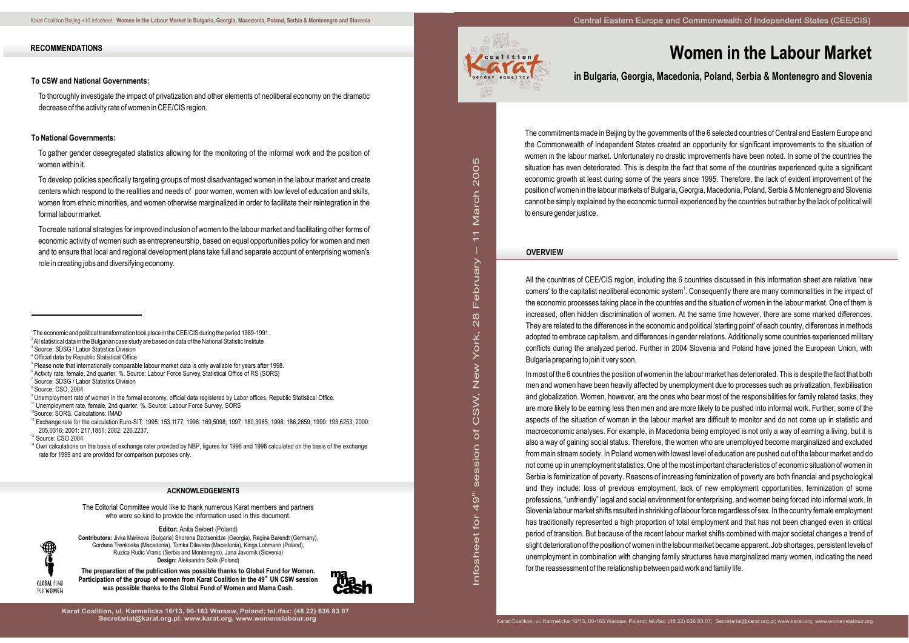in L fo s그 e

et fo for 4 ග

sessio  $\subset$  $\rm \delta$  $\mathsf O$ (J)

Z<br>Ś

8<br>28 L  $\mathbb O$ bru

て<br>あ

ar c그  $\mathsf{\Omega}$  $\circ$  $\circ$ လ

> ew

Yo rk, 2

– 11 M

# **Women in the Labour Market**

**in Bulgaria, Georgia, Macedonia, Poland, Serbia & Montenegro and Slovenia**

The commitments made in Beijing by the governments of the 6 selected countries of Central and Eastern Europe and the Commonwealth of Independent States created an opportunity for significant improvements to the situation of women in the labour market. Unfortunately no drastic improvements have been noted. In some of the countries the situation has even deteriorated. This is despite the fact that some of the countries experienced quite a significant economic growth at least during some of the years since 1995. Therefore, the lack of evident improvement of the position of women in the labour markets of Bulgaria, Georgia, Macedonia, Poland, Serbia & Montenegro and Slovenia cannot be simply explained by the economic turmoil experienced by the countries but rather by the lack of political will to ensure gender justice.

## **OVERVIEW**

All the countries of CEE/CIS region, including the 6 countries discussed in this information sheet are relative 'new comers' to the capitalist neoliberal economic system<sup>1</sup>. Consequently there are many commonalities in the impact of the economic processes taking place in the countries and the situation of women in the labour market. One of them is increased, often hidden discrimination of women. At the same time however, there are some marked differences. They are related to the differences in the economic and political 'starting point' of each country, differences in methods adopted to embrace capitalism, and differences in gender relations. Additionally some countries experienced military conflicts during the analyzed period. Further in 2004 Slovenia and Poland have joined the European Union, with Bulgaria preparing to join it very soon.

- <sup>5</sup> Please note that internationally comparable labour market data is only available for years after 1998.
- 6 Activity rate, female, 2nd quarter, %. Source: Labour Force Survey, Statistical Office of RS (SORS)
- 7 Source: SDSG / Labor Statistics Division
- 8 Source: CSO, 2004

<sup>10</sup> Unemployment rate, female, 2nd quarter, %. Source: Labour Force Survey, SORS

In most of the 6 countries the position of women in the labour market has deteriorated. This is despite the fact that both men and women have been heavily affected by unemployment due to processes such as privatization, flexibilisation and globalization. Women, however, are the ones who bear most of the responsibilities for family related tasks, they are more likely to be earning less then men and are more likely to be pushed into informal work. Further, some of the aspects of the situation of women in the labour market are difficult to monitor and do not come up in statistic and macroeconomic analyses. For example, in Macedonia being employed is not only a way of earning a living, but it is also a way of gaining social status. Therefore, the women who are unemployed become marginalized and excluded from main stream society. In Poland women with lowest level of education are pushed out of the labour market and do not come up in unemployment statistics. One of the most important characteristics of economic situation of women in Serbia is feminization of poverty. Reasons of increasing feminization of poverty are both financial and psychological and they include: loss of previous employment, lack of new employment opportunities, feminization of some professions, "unfriendly" legal and social environment for enterprising, and women being forced into informal work. In Slovenia labour market shifts resulted in shrinking of labour force regardless of sex. In the country female employment has traditionally represented a high proportion of total employment and that has not been changed even in critical period of transition. But because of the recent labour market shifts combined with major societal changes a trend of slight deterioration of the position of women in the labour market became apparent. Job shortages, persistent levels of unemployment in combination with changing family structures have marginalized many women, indicating the need for the reassessment of the relationship between paid work and family life.

<sup>14</sup> Own calculations on the basis of exchange rater provided by NBP, figures for 1996 and 1998 calculated on the basis of the exchange rate for 1999 and are provided for comparison purposes only.

### **RECOMMENDATIONS**

#### **To CSW and National Governments:**

To thoroughly investigate the impact of privatization and other elements of neoliberal economy on the dramatic decrease of the activity rate of women in CEE/CIS region.

## **To National Governments:**

To gather gender desegregated statistics allowing for the monitoring of the informal work and the position of women within it.

To develop policies specifically targeting groups of most disadvantaged women in the labour market and create centers which respond to the realities and needs of poor women, women with low level of education and skills, women from ethnic minorities, and women otherwise marginalized in order to facilitate their reintegration in the formal labour market.

To create national strategies for improved inclusion of women to the labour market and facilitating other forms of economic activity of women such as entrepreneurship, based on equal opportunities policy for women and men and to ensure that local and regional development plans take full and separate account of enterprising women's role in creating jobs and diversifying economy.

<sup>11</sup>Source: SORS. Calculations: IMAD

<sup>12</sup> Exchange rate for the calculation Euro-SIT: 1995: 153,1177; 1996: 169,5098; 1997: 180,3985; 1998: 186,2659; 1999: 193,6253; 2000: 205,0316; 2001: 217,1851; 2002: 226,2237.

<sup>3</sup> Source: CSO 2004

 $\blacklozenge \bigoplus$ 

GLOBAL FUND FOR WOMEN

**Karat Coalition, ul. Karmelicka 16/13, 00-163 Warsaw, Poland; tel./fax: (48 22) 636 83 07**



ء<br>=

The Editorial Committee would like to thank numerous Karat members and partners who were so kind to provide the information used in this document.

**Editor:** Anita Seibert (Poland)

**Contributors:** Jivka Marinova (Bulgaria) Shorena Dzotsenidze (Georgia), Regina Barendt (Germany), Gordana Trenkoska (Macedonia), Tomka Dilevska (Macedonia), Kinga Lohmann (Poland), Ruzica Rudic Vranic (Serbia and Montenegro), Jana Javornik (Slovenia) **Design:** Aleksandra Solik (Poland)

**The preparation of the publication was possible thanks to Global Fund for Women.** Participation of the group of women from Karat Coalition in the 49<sup>th</sup> UN CSW session **was possible thanks to the Global Fund of Women and Mama Cash.**



#### **ACKNOWLEDGEMENTS**

 $^\circ$  Unemployment rate of women in the formal economy, official data registered by Labor offices, Republic Statistical Office.

<sup>1</sup>The economic and political transformation took place in the CEE/CIS during the period 1989-1991.

 $^{\rm 2}$  All statistical data in the Bulgarian case study are based on data of the National Statistic Institute

<sup>3</sup> Source: SDSG / Labor Statistics Division

<sup>4</sup> Official data by Republic Statistical Office